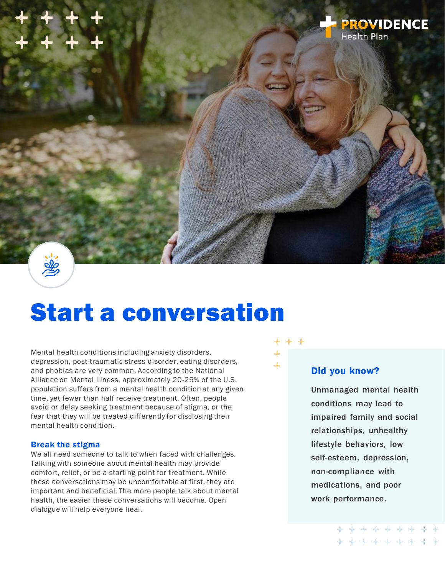

# Start a conversation

Mental health conditions including anxiety disorders, depression, post-traumatic stress disorder, eating disorders, and phobias are very common. According to the National Alliance on Mental Illness, approximately 20-25% of the U.S. population suffers from a mental health condition at any given time, yet fewer than half receive treatment. Often, people avoid or delay seeking treatment because of stigma, or the fear that they will be treated differently for disclosing their mental health condition.

#### Break the stigma

We all need someone to talk to when faced with challenges. Talking with someone about mental health may provide comfort, relief, or be a starting point for treatment. While these conversations may be uncomfortable at first, they are important and beneficial. The more people talk about mental health, the easier these conversations will become. Open dialogue will help everyone heal.



### Did you know?

Unmanaged mental health conditions may lead to impaired family and social relationships, unhealthy lifestyle behaviors, low self-esteem, depression, non-compliance with medications, and poor work performance.

> \* \* \* \* \* \* \* \* \* **++++++++++**